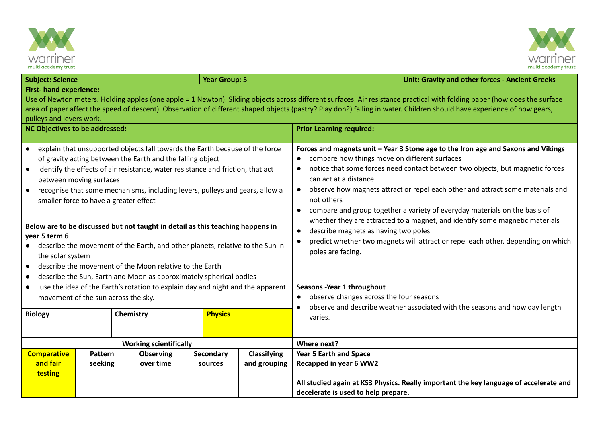



| <b>Subject: Science</b>                                                                                                                      |                                                              |             | <b>Year Group: 5</b> |                    | <b>Unit: Gravity and other forces - Ancient Greeks</b>                                                                                                                                                                       |                                                                                                                                                                         |  |  |  |
|----------------------------------------------------------------------------------------------------------------------------------------------|--------------------------------------------------------------|-------------|----------------------|--------------------|------------------------------------------------------------------------------------------------------------------------------------------------------------------------------------------------------------------------------|-------------------------------------------------------------------------------------------------------------------------------------------------------------------------|--|--|--|
| <b>First- hand experience:</b>                                                                                                               |                                                              |             |                      |                    | Use of Newton meters. Holding apples (one apple = 1 Newton). Sliding objects across different surfaces. Air resistance practical with folding paper (how does the surface                                                    |                                                                                                                                                                         |  |  |  |
|                                                                                                                                              |                                                              |             |                      |                    |                                                                                                                                                                                                                              | area of paper affect the speed of descent). Observation of different shaped objects (pastry? Play doh?) falling in water. Children should have experience of how gears, |  |  |  |
| pulleys and levers work.                                                                                                                     |                                                              |             |                      |                    |                                                                                                                                                                                                                              |                                                                                                                                                                         |  |  |  |
| <b>NC Objectives to be addressed:</b>                                                                                                        |                                                              |             |                      |                    | <b>Prior Learning required:</b>                                                                                                                                                                                              |                                                                                                                                                                         |  |  |  |
| • explain that unsupported objects fall towards the Earth because of the force<br>of gravity acting between the Earth and the falling object |                                                              |             |                      |                    | Forces and magnets unit - Year 3 Stone age to the Iron age and Saxons and Vikings<br>compare how things move on different surfaces                                                                                           |                                                                                                                                                                         |  |  |  |
| identify the effects of air resistance, water resistance and friction, that act<br>between moving surfaces                                   |                                                              |             |                      |                    | notice that some forces need contact between two objects, but magnetic forces<br>$\bullet$<br>can act at a distance                                                                                                          |                                                                                                                                                                         |  |  |  |
| recognise that some mechanisms, including levers, pulleys and gears, allow a<br>$\bullet$<br>smaller force to have a greater effect          |                                                              |             |                      |                    | observe how magnets attract or repel each other and attract some materials and<br>not others                                                                                                                                 |                                                                                                                                                                         |  |  |  |
| Below are to be discussed but not taught in detail as this teaching happens in                                                               |                                                              |             |                      |                    | compare and group together a variety of everyday materials on the basis of<br>$\bullet$<br>whether they are attracted to a magnet, and identify some magnetic materials<br>describe magnets as having two poles<br>$\bullet$ |                                                                                                                                                                         |  |  |  |
| year 5 term 6<br>describe the movement of the Earth, and other planets, relative to the Sun in<br>$\bullet$                                  |                                                              |             |                      |                    | predict whether two magnets will attract or repel each other, depending on which<br>$\bullet$<br>poles are facing.                                                                                                           |                                                                                                                                                                         |  |  |  |
| the solar system<br>describe the movement of the Moon relative to the Earth<br>$\bullet$                                                     |                                                              |             |                      |                    |                                                                                                                                                                                                                              |                                                                                                                                                                         |  |  |  |
| describe the Sun, Earth and Moon as approximately spherical bodies<br>$\bullet$                                                              |                                                              |             |                      |                    |                                                                                                                                                                                                                              |                                                                                                                                                                         |  |  |  |
| use the idea of the Earth's rotation to explain day and night and the apparent<br>$\bullet$                                                  |                                                              |             |                      |                    | Seasons - Year 1 throughout                                                                                                                                                                                                  |                                                                                                                                                                         |  |  |  |
| movement of the sun across the sky.                                                                                                          |                                                              |             |                      |                    | observe changes across the four seasons<br>$\bullet$                                                                                                                                                                         |                                                                                                                                                                         |  |  |  |
| <b>Biology</b>                                                                                                                               |                                                              | Chemistry   | <b>Physics</b>       |                    | observe and describe weather associated with the seasons and how day length<br>varies.                                                                                                                                       |                                                                                                                                                                         |  |  |  |
|                                                                                                                                              |                                                              | Where next? |                      |                    |                                                                                                                                                                                                                              |                                                                                                                                                                         |  |  |  |
| <b>Comparative</b>                                                                                                                           | <b>Working scientifically</b><br>Pattern<br><b>Observing</b> |             | Secondary            | <b>Classifying</b> | <b>Year 5 Earth and Space</b>                                                                                                                                                                                                |                                                                                                                                                                         |  |  |  |
| and fair                                                                                                                                     | seeking                                                      | over time   | sources              | and grouping       | Recapped in year 6 WW2                                                                                                                                                                                                       |                                                                                                                                                                         |  |  |  |
| testing                                                                                                                                      |                                                              |             |                      |                    |                                                                                                                                                                                                                              |                                                                                                                                                                         |  |  |  |
|                                                                                                                                              |                                                              |             |                      |                    |                                                                                                                                                                                                                              | All studied again at KS3 Physics. Really important the key language of accelerate and                                                                                   |  |  |  |
|                                                                                                                                              |                                                              |             |                      |                    | decelerate is used to help prepare.                                                                                                                                                                                          |                                                                                                                                                                         |  |  |  |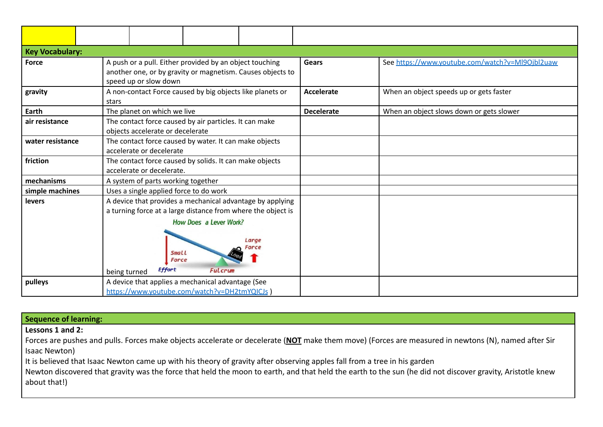| <b>Key Vocabulary:</b> |                                                                                                                                                                                                                                                   |                   |                                                 |  |  |  |  |  |  |
|------------------------|---------------------------------------------------------------------------------------------------------------------------------------------------------------------------------------------------------------------------------------------------|-------------------|-------------------------------------------------|--|--|--|--|--|--|
| <b>Force</b>           | A push or a pull. Either provided by an object touching<br>another one, or by gravity or magnetism. Causes objects to<br>speed up or slow down                                                                                                    | <b>Gears</b>      | See https://www.youtube.com/watch?v=Ml9Ojbl2uaw |  |  |  |  |  |  |
| gravity                | A non-contact Force caused by big objects like planets or<br>stars                                                                                                                                                                                | <b>Accelerate</b> | When an object speeds up or gets faster         |  |  |  |  |  |  |
| Earth                  | The planet on which we live                                                                                                                                                                                                                       | <b>Decelerate</b> | When an object slows down or gets slower        |  |  |  |  |  |  |
| air resistance         | The contact force caused by air particles. It can make<br>objects accelerate or decelerate                                                                                                                                                        |                   |                                                 |  |  |  |  |  |  |
| water resistance       | The contact force caused by water. It can make objects<br>accelerate or decelerate                                                                                                                                                                |                   |                                                 |  |  |  |  |  |  |
| friction               | The contact force caused by solids. It can make objects<br>accelerate or decelerate.                                                                                                                                                              |                   |                                                 |  |  |  |  |  |  |
| mechanisms             | A system of parts working together                                                                                                                                                                                                                |                   |                                                 |  |  |  |  |  |  |
| simple machines        | Uses a single applied force to do work                                                                                                                                                                                                            |                   |                                                 |  |  |  |  |  |  |
| levers                 | A device that provides a mechanical advantage by applying<br>a turning force at a large distance from where the object is<br><b>How Does a Lever Work?</b><br>Large<br>Force<br>Small<br>Force<br><b>Effort</b><br><b>Fulcrum</b><br>being turned |                   |                                                 |  |  |  |  |  |  |
| pulleys                | A device that applies a mechanical advantage (See<br>https://www.voutube.com/watch?v=DH2tmYQICJs )                                                                                                                                                |                   |                                                 |  |  |  |  |  |  |

| Sequence of learning:                                                                                                                                     |
|-----------------------------------------------------------------------------------------------------------------------------------------------------------|
| Lessons 1 and 2:                                                                                                                                          |
| Forces are pushes and pulls. Forces make objects accelerate or decelerate (NOT make them move) (Forces are measured in newtons (N), named after Sir       |
| Isaac Newton)                                                                                                                                             |
| It is believed that Isaac Newton came up with his theory of gravity after observing apples fall from a tree in his garden                                 |
| Newton discovered that gravity was the force that held the moon to earth, and that held the earth to the sun (he did not discover gravity, Aristotle knew |
| about that!)                                                                                                                                              |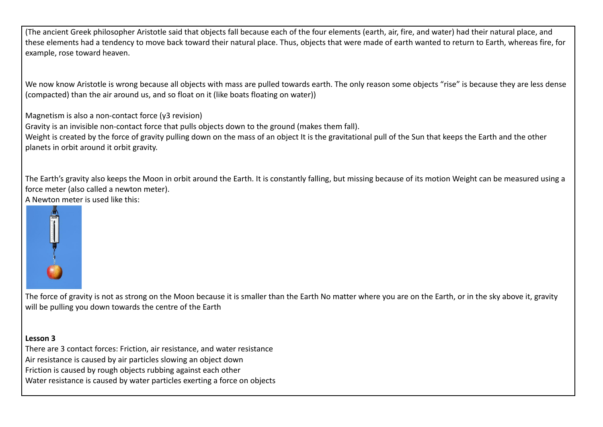(The ancient Greek philosopher Aristotle said that objects fall because each of the four elements (earth, air, fire, and water) had their natural place, and these elements had a tendency to move back toward their natural place. Thus, objects that were made of earth wanted to return to Earth, whereas fire, for example, rose toward heaven.

We now know Aristotle is wrong because all objects with mass are pulled towards earth. The only reason some objects "rise" is because they are less dense (compacted) than the air around us, and so float on it (like boats floating on water))

Magnetism is also a non-contact force (y3 revision)

Gravity is an invisible non-contact force that pulls objects down to the ground (makes them fall).

Weight is created by the force of gravity pulling down on the mass of an object It is the gravitational pull of the Sun that keeps the Earth and the other planets in orbit around it orbit gravity.

The Earth's gravity also keeps the Moon in orbit around the Earth. It is constantly falling, but missing because of its motion Weight can be measured using a force meter (also called a newton meter). A Newton meter is used like this:



The force of gravity is not as strong on the Moon because it is smaller than the Earth No matter where you are on the Earth, or in the sky above it, gravity will be pulling you down towards the centre of the Earth

## **Lesson 3**

There are 3 contact forces: Friction, air resistance, and water resistance Air resistance is caused by air particles slowing an object down Friction is caused by rough objects rubbing against each other Water resistance is caused by water particles exerting a force on objects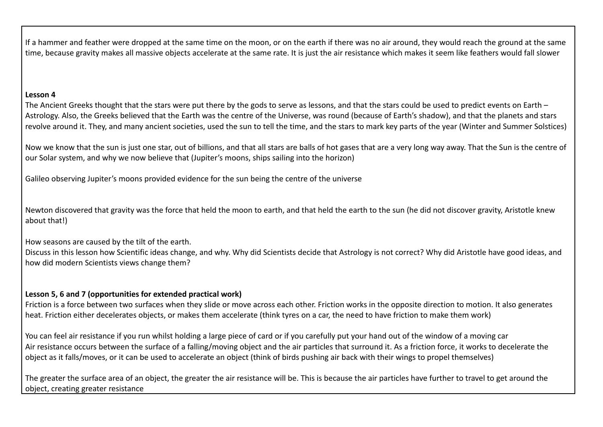If a hammer and feather were dropped at the same time on the moon, or on the earth if there was no air around, they would reach the ground at the same time, because gravity makes all massive objects accelerate at the same rate. It is just the air resistance which makes it seem like feathers would fall slower

## **Lesson 4**

The Ancient Greeks thought that the stars were put there by the gods to serve as lessons, and that the stars could be used to predict events on Earth – Astrology. Also, the Greeks believed that the Earth was the centre of the Universe, was round (because of Earth's shadow), and that the planets and stars revolve around it. They, and many ancient societies, used the sun to tell the time, and the stars to mark key parts of the year (Winter and Summer Solstices)

Now we know that the sun is just one star, out of billions, and that all stars are balls of hot gases that are a very long way away. That the Sun is the centre of our Solar system, and why we now believe that (Jupiter's moons, ships sailing into the horizon)

Galileo observing Jupiter's moons provided evidence for the sun being the centre of the universe

Newton discovered that gravity was the force that held the moon to earth, and that held the earth to the sun (he did not discover gravity, Aristotle knew about that!)

How seasons are caused by the tilt of the earth.

Discuss in this lesson how Scientific ideas change, and why. Why did Scientists decide that Astrology is not correct? Why did Aristotle have good ideas, and how did modern Scientists views change them?

## **Lesson 5, 6 and 7 (opportunities for extended practical work)**

Friction is a force between two surfaces when they slide or move across each other. Friction works in the opposite direction to motion. It also generates heat. Friction either decelerates objects, or makes them accelerate (think tyres on a car, the need to have friction to make them work)

You can feel air resistance if you run whilst holding a large piece of card or if you carefully put your hand out of the window of a moving car Air resistance occurs between the surface of a falling/moving object and the air particles that surround it. As a friction force, it works to decelerate the object as it falls/moves, or it can be used to accelerate an object (think of birds pushing air back with their wings to propel themselves)

The greater the surface area of an object, the greater the air resistance will be. This is because the air particles have further to travel to get around the object, creating greater resistance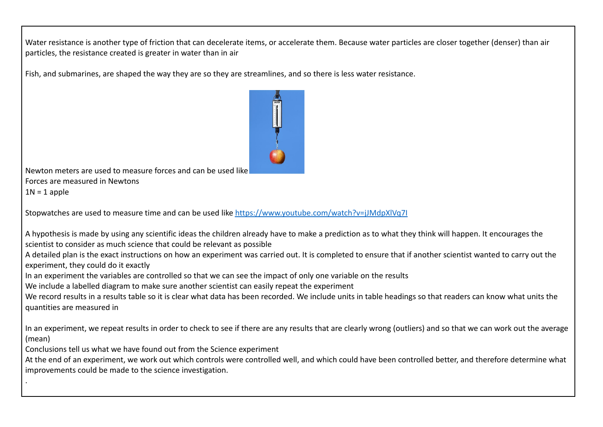Water resistance is another type of friction that can decelerate items, or accelerate them. Because water particles are closer together (denser) than air particles, the resistance created is greater in water than in air

Fish, and submarines, are shaped the way they are so they are streamlines, and so there is less water resistance.



Newton meters are used to measure forces and can be used like Forces are measured in Newtons  $1N = 1$  apple

Stopwatches are used to measure time and can be used like <https://www.youtube.com/watch?v=jJMdpXlVq7I>

A hypothesis is made by using any scientific ideas the children already have to make a prediction as to what they think will happen. It encourages the scientist to consider as much science that could be relevant as possible

A detailed plan is the exact instructions on how an experiment was carried out. It is completed to ensure that if another scientist wanted to carry out the experiment, they could do it exactly

In an experiment the variables are controlled so that we can see the impact of only one variable on the results

We include a labelled diagram to make sure another scientist can easily repeat the experiment

We record results in a results table so it is clear what data has been recorded. We include units in table headings so that readers can know what units the quantities are measured in

In an experiment, we repeat results in order to check to see if there are any results that are clearly wrong (outliers) and so that we can work out the average (mean)

Conclusions tell us what we have found out from the Science experiment

.

At the end of an experiment, we work out which controls were controlled well, and which could have been controlled better, and therefore determine what improvements could be made to the science investigation.